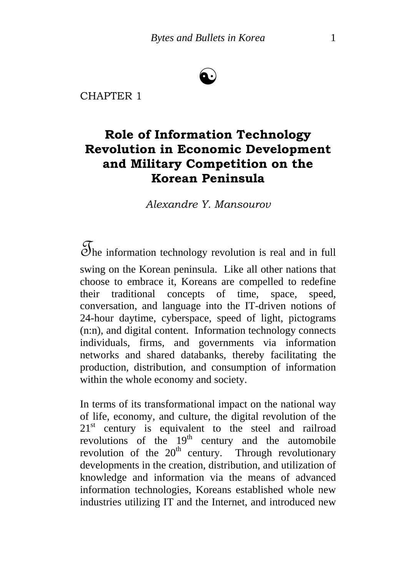# ☯

CHAPTER 1

# **Role of Information Technology Revolution in Economic Development and Military Competition on the Korean Peninsula**

*Alexandre Y. Mansourov* 

The information technology revolution is real and in full swing on the Korean peninsula. Like all other nations that choose to embrace it, Koreans are compelled to redefine their traditional concepts of time, space, speed, conversation, and language into the IT-driven notions of 24-hour daytime, cyberspace, speed of light, pictograms (n:n), and digital content. Information technology connects individuals, firms, and governments via information networks and shared databanks, thereby facilitating the production, distribution, and consumption of information within the whole economy and society.

In terms of its transformational impact on the national way of life, economy, and culture, the digital revolution of the  $21<sup>st</sup>$  century is equivalent to the steel and railroad revolutions of the  $19<sup>th</sup>$  century and the automobile revolution of the  $20<sup>th</sup>$  century. Through revolutionary developments in the creation, distribution, and utilization of knowledge and information via the means of advanced information technologies, Koreans established whole new industries utilizing IT and the Internet, and introduced new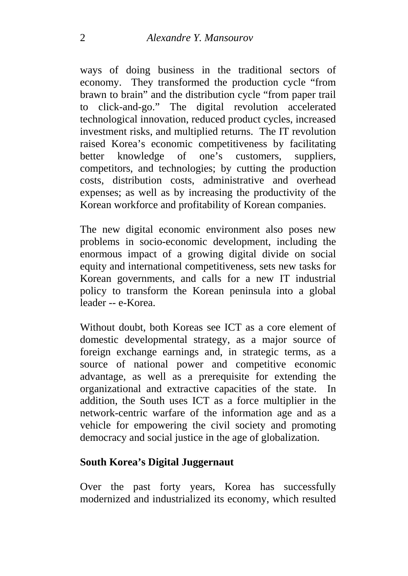ways of doing business in the traditional sectors of economy. They transformed the production cycle "from brawn to brain" and the distribution cycle "from paper trail to click-and-go." The digital revolution accelerated technological innovation, reduced product cycles, increased investment risks, and multiplied returns. The IT revolution raised Korea's economic competitiveness by facilitating better knowledge of one's customers, suppliers, competitors, and technologies; by cutting the production costs, distribution costs, administrative and overhead expenses; as well as by increasing the productivity of the Korean workforce and profitability of Korean companies.

The new digital economic environment also poses new problems in socio-economic development, including the enormous impact of a growing digital divide on social equity and international competitiveness, sets new tasks for Korean governments, and calls for a new IT industrial policy to transform the Korean peninsula into a global leader -- e-Korea.

Without doubt, both Koreas see ICT as a core element of domestic developmental strategy, as a major source of foreign exchange earnings and, in strategic terms, as a source of national power and competitive economic advantage, as well as a prerequisite for extending the organizational and extractive capacities of the state. In addition, the South uses ICT as a force multiplier in the network-centric warfare of the information age and as a vehicle for empowering the civil society and promoting democracy and social justice in the age of globalization.

#### **South Korea's Digital Juggernaut**

Over the past forty years, Korea has successfully modernized and industrialized its economy, which resulted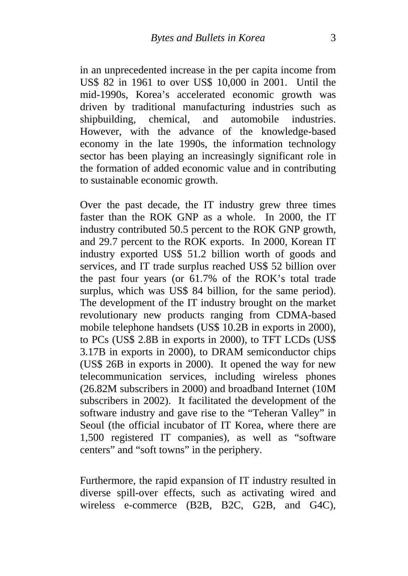in an unprecedented increase in the per capita income from US\$ 82 in 1961 to over US\$ 10,000 in 2001. Until the mid-1990s, Korea's accelerated economic growth was driven by traditional manufacturing industries such as shipbuilding, chemical, and automobile industries. However, with the advance of the knowledge-based economy in the late 1990s, the information technology sector has been playing an increasingly significant role in the formation of added economic value and in contributing to sustainable economic growth.

Over the past decade, the IT industry grew three times faster than the ROK GNP as a whole. In 2000, the IT industry contributed 50.5 percent to the ROK GNP growth, and 29.7 percent to the ROK exports. In 2000, Korean IT industry exported US\$ 51.2 billion worth of goods and services, and IT trade surplus reached US\$ 52 billion over the past four years (or 61.7% of the ROK's total trade surplus, which was US\$ 84 billion, for the same period). The development of the IT industry brought on the market revolutionary new products ranging from CDMA-based mobile telephone handsets (US\$ 10.2B in exports in 2000), to PCs (US\$ 2.8B in exports in 2000), to TFT LCDs (US\$ 3.17B in exports in 2000), to DRAM semiconductor chips (US\$ 26B in exports in 2000). It opened the way for new telecommunication services, including wireless phones (26.82M subscribers in 2000) and broadband Internet (10M subscribers in 2002). It facilitated the development of the software industry and gave rise to the "Teheran Valley" in Seoul (the official incubator of IT Korea, where there are 1,500 registered IT companies), as well as "software centers" and "soft towns" in the periphery.

Furthermore, the rapid expansion of IT industry resulted in diverse spill-over effects, such as activating wired and wireless e-commerce (B2B, B2C, G2B, and G4C),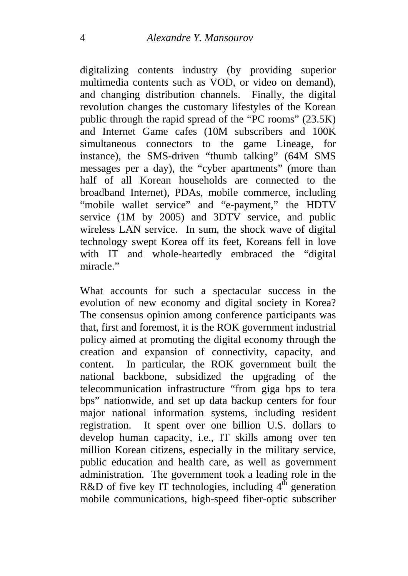digitalizing contents industry (by providing superior multimedia contents such as VOD, or video on demand), and changing distribution channels. Finally, the digital revolution changes the customary lifestyles of the Korean public through the rapid spread of the "PC rooms" (23.5K) and Internet Game cafes (10M subscribers and 100K simultaneous connectors to the game Lineage, for instance), the SMS-driven "thumb talking" (64M SMS messages per a day), the "cyber apartments" (more than half of all Korean households are connected to the broadband Internet), PDAs, mobile commerce, including "mobile wallet service" and "e-payment," the HDTV service (1M by 2005) and 3DTV service, and public wireless LAN service. In sum, the shock wave of digital technology swept Korea off its feet, Koreans fell in love with IT and whole-heartedly embraced the "digital miracle."

What accounts for such a spectacular success in the evolution of new economy and digital society in Korea? The consensus opinion among conference participants was that, first and foremost, it is the ROK government industrial policy aimed at promoting the digital economy through the creation and expansion of connectivity, capacity, and content. In particular, the ROK government built the national backbone, subsidized the upgrading of the telecommunication infrastructure "from giga bps to tera bps" nationwide, and set up data backup centers for four major national information systems, including resident registration. It spent over one billion U.S. dollars to develop human capacity, i.e., IT skills among over ten million Korean citizens, especially in the military service, public education and health care, as well as government administration. The government took a leading role in the R&D of five key IT technologies, including  $4^{\text{th}}$  generation mobile communications, high-speed fiber-optic subscriber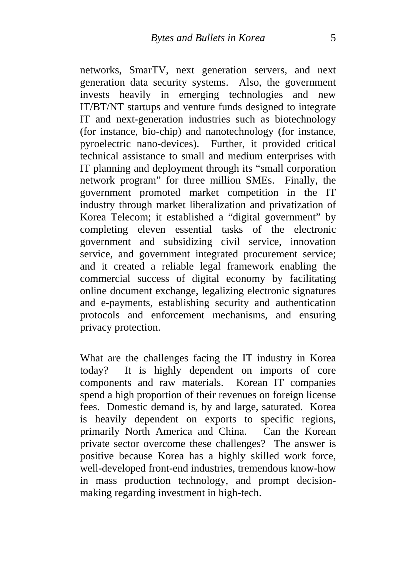networks, SmarTV, next generation servers, and next generation data security systems. Also, the government invests heavily in emerging technologies and new IT/BT/NT startups and venture funds designed to integrate IT and next-generation industries such as biotechnology (for instance, bio-chip) and nanotechnology (for instance, pyroelectric nano-devices). Further, it provided critical technical assistance to small and medium enterprises with IT planning and deployment through its "small corporation network program" for three million SMEs. Finally, the government promoted market competition in the IT industry through market liberalization and privatization of Korea Telecom; it established a "digital government" by completing eleven essential tasks of the electronic government and subsidizing civil service, innovation service, and government integrated procurement service; and it created a reliable legal framework enabling the commercial success of digital economy by facilitating online document exchange, legalizing electronic signatures and e-payments, establishing security and authentication protocols and enforcement mechanisms, and ensuring privacy protection.

What are the challenges facing the IT industry in Korea today? It is highly dependent on imports of core components and raw materials. Korean IT companies spend a high proportion of their revenues on foreign license fees. Domestic demand is, by and large, saturated. Korea is heavily dependent on exports to specific regions, primarily North America and China. Can the Korean private sector overcome these challenges? The answer is positive because Korea has a highly skilled work force, well-developed front-end industries, tremendous know-how in mass production technology, and prompt decisionmaking regarding investment in high-tech.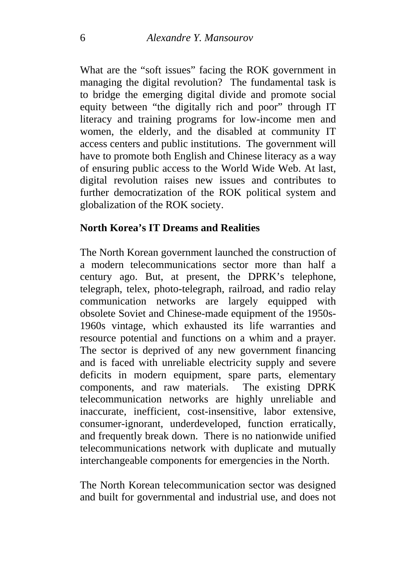What are the "soft issues" facing the ROK government in managing the digital revolution? The fundamental task is to bridge the emerging digital divide and promote social equity between "the digitally rich and poor" through IT literacy and training programs for low-income men and women, the elderly, and the disabled at community IT access centers and public institutions. The government will have to promote both English and Chinese literacy as a way of ensuring public access to the World Wide Web. At last, digital revolution raises new issues and contributes to further democratization of the ROK political system and globalization of the ROK society.

#### **North Korea's IT Dreams and Realities**

The North Korean government launched the construction of a modern telecommunications sector more than half a century ago. But, at present, the DPRK's telephone, telegraph, telex, photo-telegraph, railroad, and radio relay communication networks are largely equipped with obsolete Soviet and Chinese-made equipment of the 1950s-1960s vintage, which exhausted its life warranties and resource potential and functions on a whim and a prayer. The sector is deprived of any new government financing and is faced with unreliable electricity supply and severe deficits in modern equipment, spare parts, elementary components, and raw materials. The existing DPRK telecommunication networks are highly unreliable and inaccurate, inefficient, cost-insensitive, labor extensive, consumer-ignorant, underdeveloped, function erratically, and frequently break down. There is no nationwide unified telecommunications network with duplicate and mutually interchangeable components for emergencies in the North.

The North Korean telecommunication sector was designed and built for governmental and industrial use, and does not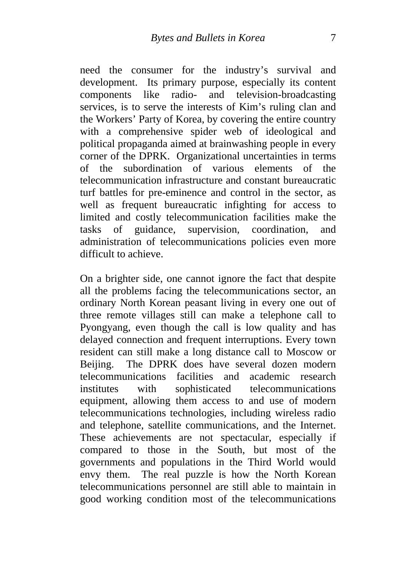need the consumer for the industry's survival and development. Its primary purpose, especially its content components like radio- and television-broadcasting services, is to serve the interests of Kim's ruling clan and the Workers' Party of Korea, by covering the entire country with a comprehensive spider web of ideological and political propaganda aimed at brainwashing people in every corner of the DPRK. Organizational uncertainties in terms of the subordination of various elements of the telecommunication infrastructure and constant bureaucratic turf battles for pre-eminence and control in the sector, as well as frequent bureaucratic infighting for access to limited and costly telecommunication facilities make the tasks of guidance, supervision, coordination, and administration of telecommunications policies even more difficult to achieve.

On a brighter side, one cannot ignore the fact that despite all the problems facing the telecommunications sector, an ordinary North Korean peasant living in every one out of three remote villages still can make a telephone call to Pyongyang, even though the call is low quality and has delayed connection and frequent interruptions. Every town resident can still make a long distance call to Moscow or Beijing. The DPRK does have several dozen modern telecommunications facilities and academic research institutes with sophisticated telecommunications equipment, allowing them access to and use of modern telecommunications technologies, including wireless radio and telephone, satellite communications, and the Internet. These achievements are not spectacular, especially if compared to those in the South, but most of the governments and populations in the Third World would envy them. The real puzzle is how the North Korean telecommunications personnel are still able to maintain in good working condition most of the telecommunications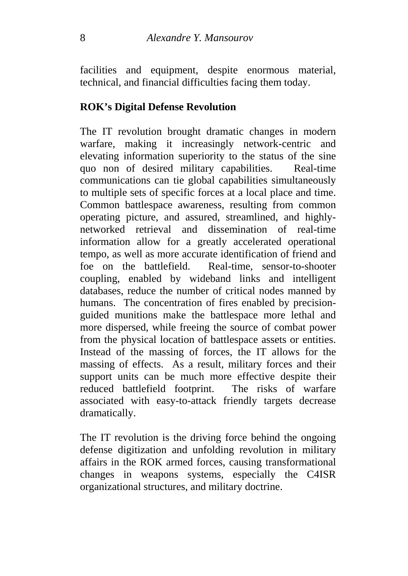facilities and equipment, despite enormous material, technical, and financial difficulties facing them today.

### **ROK's Digital Defense Revolution**

The IT revolution brought dramatic changes in modern warfare, making it increasingly network-centric and elevating information superiority to the status of the sine quo non of desired military capabilities. Real-time communications can tie global capabilities simultaneously to multiple sets of specific forces at a local place and time. Common battlespace awareness, resulting from common operating picture, and assured, streamlined, and highlynetworked retrieval and dissemination of real-time information allow for a greatly accelerated operational tempo, as well as more accurate identification of friend and foe on the battlefield. Real-time, sensor-to-shooter coupling, enabled by wideband links and intelligent databases, reduce the number of critical nodes manned by humans. The concentration of fires enabled by precisionguided munitions make the battlespace more lethal and more dispersed, while freeing the source of combat power from the physical location of battlespace assets or entities. Instead of the massing of forces, the IT allows for the massing of effects. As a result, military forces and their support units can be much more effective despite their reduced battlefield footprint. The risks of warfare associated with easy-to-attack friendly targets decrease dramatically.

The IT revolution is the driving force behind the ongoing defense digitization and unfolding revolution in military affairs in the ROK armed forces, causing transformational changes in weapons systems, especially the C4ISR organizational structures, and military doctrine.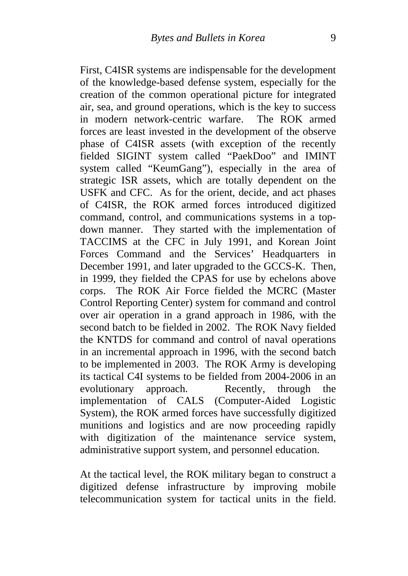First, C4ISR systems are indispensable for the development of the knowledge-based defense system, especially for the creation of the common operational picture for integrated air, sea, and ground operations, which is the key to success in modern network-centric warfare. The ROK armed forces are least invested in the development of the observe phase of C4ISR assets (with exception of the recently fielded SIGINT system called "PaekDoo" and IMINT system called "KeumGang"), especially in the area of strategic ISR assets, which are totally dependent on the USFK and CFC. As for the orient, decide, and act phases of C4ISR, the ROK armed forces introduced digitized command, control, and communications systems in a topdown manner. They started with the implementation of TACCIMS at the CFC in July 1991, and Korean Joint Forces Command and the Services' Headquarters in December 1991, and later upgraded to the GCCS-K. Then, in 1999, they fielded the CPAS for use by echelons above corps. The ROK Air Force fielded the MCRC (Master Control Reporting Center) system for command and control over air operation in a grand approach in 1986, with the second batch to be fielded in 2002. The ROK Navy fielded the KNTDS for command and control of naval operations in an incremental approach in 1996, with the second batch to be implemented in 2003. The ROK Army is developing its tactical C4I systems to be fielded from 2004-2006 in an evolutionary approach. Recently, through the implementation of CALS (Computer-Aided Logistic System), the ROK armed forces have successfully digitized munitions and logistics and are now proceeding rapidly with digitization of the maintenance service system, administrative support system, and personnel education.

At the tactical level, the ROK military began to construct a digitized defense infrastructure by improving mobile telecommunication system for tactical units in the field.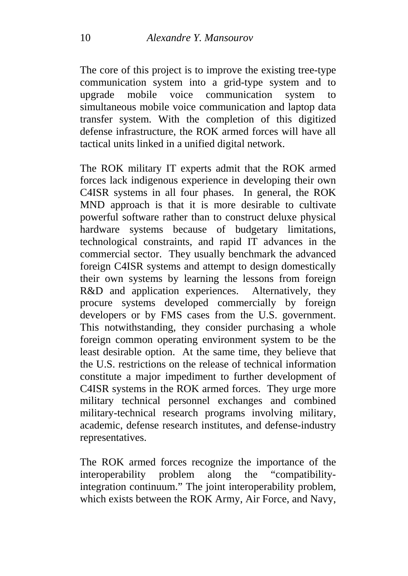The core of this project is to improve the existing tree-type communication system into a grid-type system and to upgrade mobile voice communication system to simultaneous mobile voice communication and laptop data transfer system. With the completion of this digitized defense infrastructure, the ROK armed forces will have all tactical units linked in a unified digital network.

The ROK military IT experts admit that the ROK armed forces lack indigenous experience in developing their own C4ISR systems in all four phases. In general, the ROK MND approach is that it is more desirable to cultivate powerful software rather than to construct deluxe physical hardware systems because of budgetary limitations, technological constraints, and rapid IT advances in the commercial sector. They usually benchmark the advanced foreign C4ISR systems and attempt to design domestically their own systems by learning the lessons from foreign R&D and application experiences. Alternatively, they procure systems developed commercially by foreign developers or by FMS cases from the U.S. government. This notwithstanding, they consider purchasing a whole foreign common operating environment system to be the least desirable option. At the same time, they believe that the U.S. restrictions on the release of technical information constitute a major impediment to further development of C4ISR systems in the ROK armed forces. They urge more military technical personnel exchanges and combined military-technical research programs involving military, academic, defense research institutes, and defense-industry representatives.

The ROK armed forces recognize the importance of the interoperability problem along the "compatibilityintegration continuum." The joint interoperability problem, which exists between the ROK Army, Air Force, and Navy,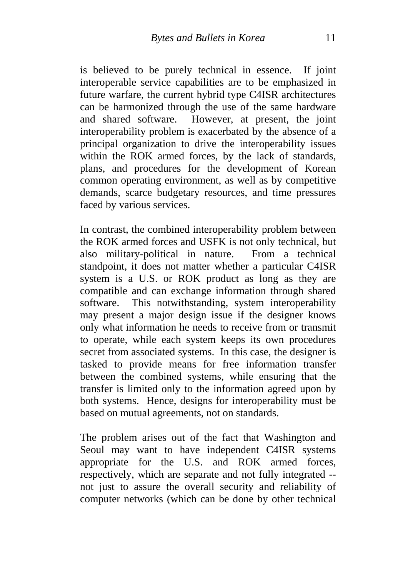is believed to be purely technical in essence. If joint interoperable service capabilities are to be emphasized in future warfare, the current hybrid type C4ISR architectures can be harmonized through the use of the same hardware and shared software. However, at present, the joint interoperability problem is exacerbated by the absence of a principal organization to drive the interoperability issues within the ROK armed forces, by the lack of standards, plans, and procedures for the development of Korean common operating environment, as well as by competitive demands, scarce budgetary resources, and time pressures faced by various services.

In contrast, the combined interoperability problem between the ROK armed forces and USFK is not only technical, but also military-political in nature. From a technical standpoint, it does not matter whether a particular C4ISR system is a U.S. or ROK product as long as they are compatible and can exchange information through shared software. This notwithstanding, system interoperability may present a major design issue if the designer knows only what information he needs to receive from or transmit to operate, while each system keeps its own procedures secret from associated systems. In this case, the designer is tasked to provide means for free information transfer between the combined systems, while ensuring that the transfer is limited only to the information agreed upon by both systems. Hence, designs for interoperability must be based on mutual agreements, not on standards.

The problem arises out of the fact that Washington and Seoul may want to have independent C4ISR systems appropriate for the U.S. and ROK armed forces, respectively, which are separate and not fully integrated - not just to assure the overall security and reliability of computer networks (which can be done by other technical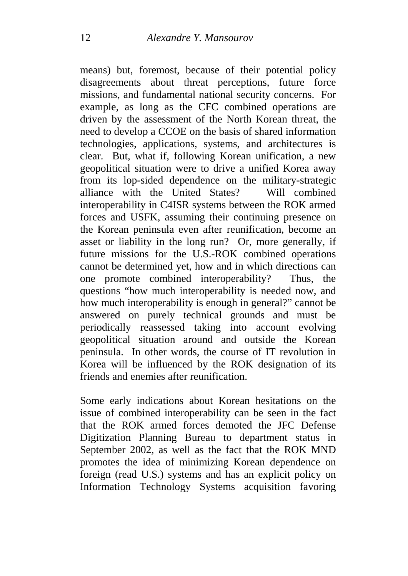means) but, foremost, because of their potential policy disagreements about threat perceptions, future force missions, and fundamental national security concerns. For example, as long as the CFC combined operations are driven by the assessment of the North Korean threat, the need to develop a CCOE on the basis of shared information technologies, applications, systems, and architectures is clear. But, what if, following Korean unification, a new geopolitical situation were to drive a unified Korea away from its lop-sided dependence on the military-strategic alliance with the United States? Will combined interoperability in C4ISR systems between the ROK armed forces and USFK, assuming their continuing presence on the Korean peninsula even after reunification, become an asset or liability in the long run? Or, more generally, if future missions for the U.S.-ROK combined operations cannot be determined yet, how and in which directions can one promote combined interoperability? Thus, the questions "how much interoperability is needed now, and how much interoperability is enough in general?" cannot be answered on purely technical grounds and must be periodically reassessed taking into account evolving geopolitical situation around and outside the Korean peninsula. In other words, the course of IT revolution in Korea will be influenced by the ROK designation of its friends and enemies after reunification.

Some early indications about Korean hesitations on the issue of combined interoperability can be seen in the fact that the ROK armed forces demoted the JFC Defense Digitization Planning Bureau to department status in September 2002, as well as the fact that the ROK MND promotes the idea of minimizing Korean dependence on foreign (read U.S.) systems and has an explicit policy on Information Technology Systems acquisition favoring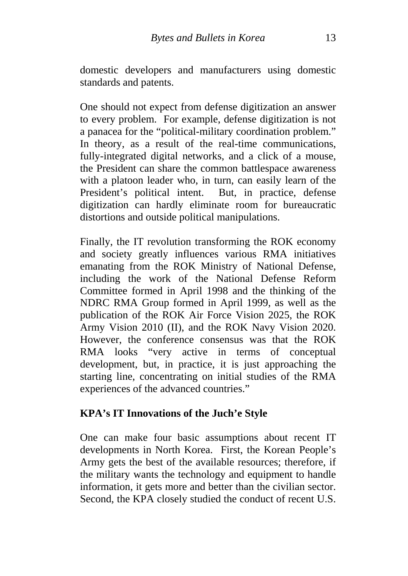domestic developers and manufacturers using domestic standards and patents.

One should not expect from defense digitization an answer to every problem. For example, defense digitization is not a panacea for the "political-military coordination problem." In theory, as a result of the real-time communications, fully-integrated digital networks, and a click of a mouse, the President can share the common battlespace awareness with a platoon leader who, in turn, can easily learn of the President's political intent. But, in practice, defense digitization can hardly eliminate room for bureaucratic distortions and outside political manipulations.

Finally, the IT revolution transforming the ROK economy and society greatly influences various RMA initiatives emanating from the ROK Ministry of National Defense, including the work of the National Defense Reform Committee formed in April 1998 and the thinking of the NDRC RMA Group formed in April 1999, as well as the publication of the ROK Air Force Vision 2025, the ROK Army Vision 2010 (II), and the ROK Navy Vision 2020. However, the conference consensus was that the ROK RMA looks "very active in terms of conceptual development, but, in practice, it is just approaching the starting line, concentrating on initial studies of the RMA experiences of the advanced countries."

#### **KPA's IT Innovations of the Juch'e Style**

One can make four basic assumptions about recent IT developments in North Korea. First, the Korean People's Army gets the best of the available resources; therefore, if the military wants the technology and equipment to handle information, it gets more and better than the civilian sector. Second, the KPA closely studied the conduct of recent U.S.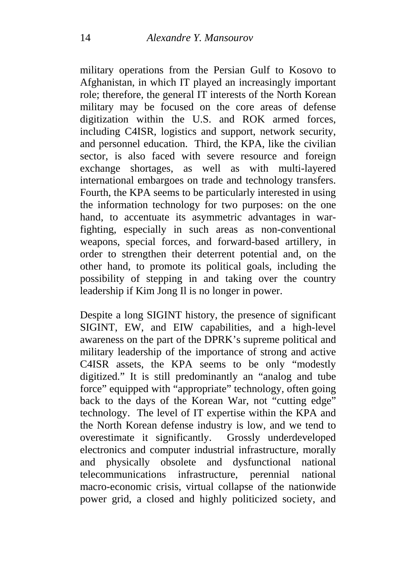military operations from the Persian Gulf to Kosovo to Afghanistan, in which IT played an increasingly important role; therefore, the general IT interests of the North Korean military may be focused on the core areas of defense digitization within the U.S. and ROK armed forces, including C4ISR, logistics and support, network security, and personnel education. Third, the KPA, like the civilian sector, is also faced with severe resource and foreign exchange shortages, as well as with multi-layered international embargoes on trade and technology transfers. Fourth, the KPA seems to be particularly interested in using the information technology for two purposes: on the one hand, to accentuate its asymmetric advantages in warfighting, especially in such areas as non-conventional weapons, special forces, and forward-based artillery, in order to strengthen their deterrent potential and, on the other hand, to promote its political goals, including the possibility of stepping in and taking over the country leadership if Kim Jong Il is no longer in power.

Despite a long SIGINT history, the presence of significant SIGINT, EW, and EIW capabilities, and a high-level awareness on the part of the DPRK's supreme political and military leadership of the importance of strong and active C4ISR assets, the KPA seems to be only "modestly digitized." It is still predominantly an "analog and tube force" equipped with "appropriate" technology, often going back to the days of the Korean War, not "cutting edge" technology. The level of IT expertise within the KPA and the North Korean defense industry is low, and we tend to overestimate it significantly. Grossly underdeveloped electronics and computer industrial infrastructure, morally and physically obsolete and dysfunctional national telecommunications infrastructure, perennial national macro-economic crisis, virtual collapse of the nationwide power grid, a closed and highly politicized society, and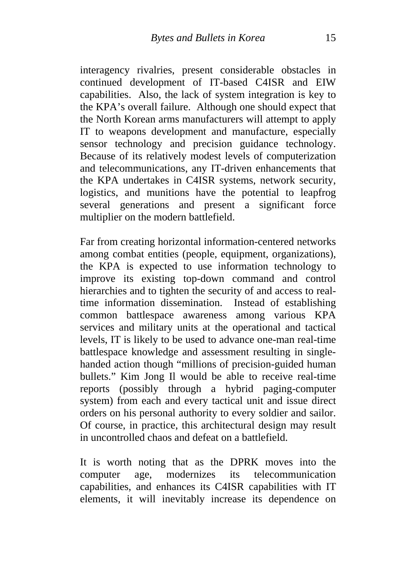interagency rivalries, present considerable obstacles in continued development of IT-based C4ISR and EIW capabilities. Also, the lack of system integration is key to the KPA's overall failure. Although one should expect that the North Korean arms manufacturers will attempt to apply IT to weapons development and manufacture, especially sensor technology and precision guidance technology. Because of its relatively modest levels of computerization and telecommunications, any IT-driven enhancements that the KPA undertakes in C4ISR systems, network security, logistics, and munitions have the potential to leapfrog several generations and present a significant force multiplier on the modern battlefield.

Far from creating horizontal information-centered networks among combat entities (people, equipment, organizations), the KPA is expected to use information technology to improve its existing top-down command and control hierarchies and to tighten the security of and access to realtime information dissemination. Instead of establishing common battlespace awareness among various KPA services and military units at the operational and tactical levels, IT is likely to be used to advance one-man real-time battlespace knowledge and assessment resulting in singlehanded action though "millions of precision-guided human bullets." Kim Jong Il would be able to receive real-time reports (possibly through a hybrid paging-computer system) from each and every tactical unit and issue direct orders on his personal authority to every soldier and sailor. Of course, in practice, this architectural design may result in uncontrolled chaos and defeat on a battlefield.

It is worth noting that as the DPRK moves into the computer age, modernizes its telecommunication capabilities, and enhances its C4ISR capabilities with IT elements, it will inevitably increase its dependence on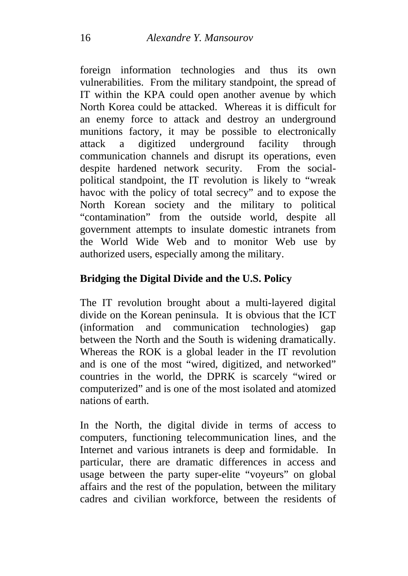foreign information technologies and thus its own vulnerabilities. From the military standpoint, the spread of IT within the KPA could open another avenue by which North Korea could be attacked. Whereas it is difficult for an enemy force to attack and destroy an underground munitions factory, it may be possible to electronically attack a digitized underground facility through communication channels and disrupt its operations, even despite hardened network security. From the socialpolitical standpoint, the IT revolution is likely to "wreak havoc with the policy of total secrecy" and to expose the North Korean society and the military to political "contamination" from the outside world, despite all government attempts to insulate domestic intranets from the World Wide Web and to monitor Web use by authorized users, especially among the military.

## **Bridging the Digital Divide and the U.S. Policy**

The IT revolution brought about a multi-layered digital divide on the Korean peninsula. It is obvious that the ICT (information and communication technologies) gap between the North and the South is widening dramatically. Whereas the ROK is a global leader in the IT revolution and is one of the most "wired, digitized, and networked" countries in the world, the DPRK is scarcely "wired or computerized" and is one of the most isolated and atomized nations of earth.

In the North, the digital divide in terms of access to computers, functioning telecommunication lines, and the Internet and various intranets is deep and formidable. In particular, there are dramatic differences in access and usage between the party super-elite "voyeurs" on global affairs and the rest of the population, between the military cadres and civilian workforce, between the residents of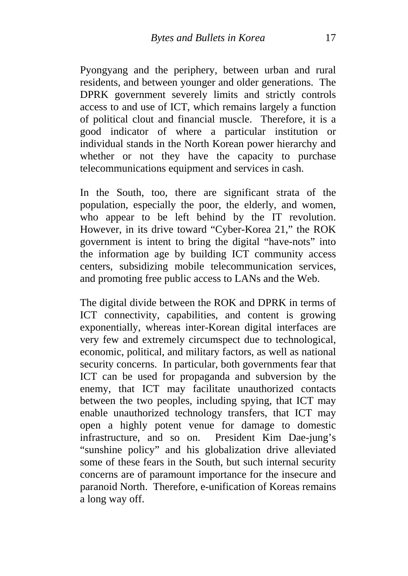Pyongyang and the periphery, between urban and rural residents, and between younger and older generations. The DPRK government severely limits and strictly controls access to and use of ICT, which remains largely a function of political clout and financial muscle. Therefore, it is a good indicator of where a particular institution or individual stands in the North Korean power hierarchy and whether or not they have the capacity to purchase telecommunications equipment and services in cash.

In the South, too, there are significant strata of the population, especially the poor, the elderly, and women, who appear to be left behind by the IT revolution. However, in its drive toward "Cyber-Korea 21," the ROK government is intent to bring the digital "have-nots" into the information age by building ICT community access centers, subsidizing mobile telecommunication services, and promoting free public access to LANs and the Web.

The digital divide between the ROK and DPRK in terms of ICT connectivity, capabilities, and content is growing exponentially, whereas inter-Korean digital interfaces are very few and extremely circumspect due to technological, economic, political, and military factors, as well as national security concerns. In particular, both governments fear that ICT can be used for propaganda and subversion by the enemy, that ICT may facilitate unauthorized contacts between the two peoples, including spying, that ICT may enable unauthorized technology transfers, that ICT may open a highly potent venue for damage to domestic infrastructure, and so on. President Kim Dae-jung's "sunshine policy" and his globalization drive alleviated some of these fears in the South, but such internal security concerns are of paramount importance for the insecure and paranoid North. Therefore, e-unification of Koreas remains a long way off.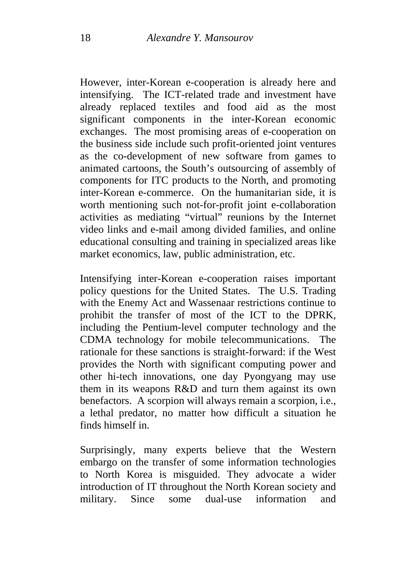However, inter-Korean e-cooperation is already here and intensifying. The ICT-related trade and investment have already replaced textiles and food aid as the most significant components in the inter-Korean economic exchanges. The most promising areas of e-cooperation on the business side include such profit-oriented joint ventures as the co-development of new software from games to animated cartoons, the South's outsourcing of assembly of components for ITC products to the North, and promoting inter-Korean e-commerce. On the humanitarian side, it is worth mentioning such not-for-profit joint e-collaboration activities as mediating "virtual" reunions by the Internet video links and e-mail among divided families, and online educational consulting and training in specialized areas like market economics, law, public administration, etc.

Intensifying inter-Korean e-cooperation raises important policy questions for the United States. The U.S. Trading with the Enemy Act and Wassenaar restrictions continue to prohibit the transfer of most of the ICT to the DPRK, including the Pentium-level computer technology and the CDMA technology for mobile telecommunications. The rationale for these sanctions is straight-forward: if the West provides the North with significant computing power and other hi-tech innovations, one day Pyongyang may use them in its weapons R&D and turn them against its own benefactors. A scorpion will always remain a scorpion, i.e., a lethal predator, no matter how difficult a situation he finds himself in.

Surprisingly, many experts believe that the Western embargo on the transfer of some information technologies to North Korea is misguided. They advocate a wider introduction of IT throughout the North Korean society and military. Since some dual-use information and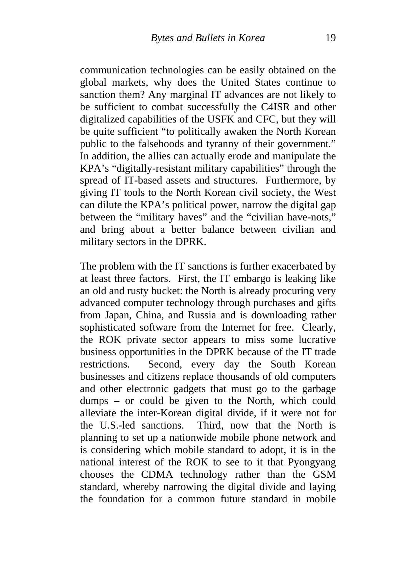communication technologies can be easily obtained on the global markets, why does the United States continue to sanction them? Any marginal IT advances are not likely to be sufficient to combat successfully the C4ISR and other digitalized capabilities of the USFK and CFC, but they will be quite sufficient "to politically awaken the North Korean public to the falsehoods and tyranny of their government." In addition, the allies can actually erode and manipulate the KPA's "digitally-resistant military capabilities" through the spread of IT-based assets and structures. Furthermore, by giving IT tools to the North Korean civil society, the West can dilute the KPA's political power, narrow the digital gap between the "military haves" and the "civilian have-nots," and bring about a better balance between civilian and military sectors in the DPRK.

The problem with the IT sanctions is further exacerbated by at least three factors. First, the IT embargo is leaking like an old and rusty bucket: the North is already procuring very advanced computer technology through purchases and gifts from Japan, China, and Russia and is downloading rather sophisticated software from the Internet for free. Clearly, the ROK private sector appears to miss some lucrative business opportunities in the DPRK because of the IT trade restrictions. Second, every day the South Korean businesses and citizens replace thousands of old computers and other electronic gadgets that must go to the garbage dumps – or could be given to the North, which could alleviate the inter-Korean digital divide, if it were not for the U.S.-led sanctions. Third, now that the North is planning to set up a nationwide mobile phone network and is considering which mobile standard to adopt, it is in the national interest of the ROK to see to it that Pyongyang chooses the CDMA technology rather than the GSM standard, whereby narrowing the digital divide and laying the foundation for a common future standard in mobile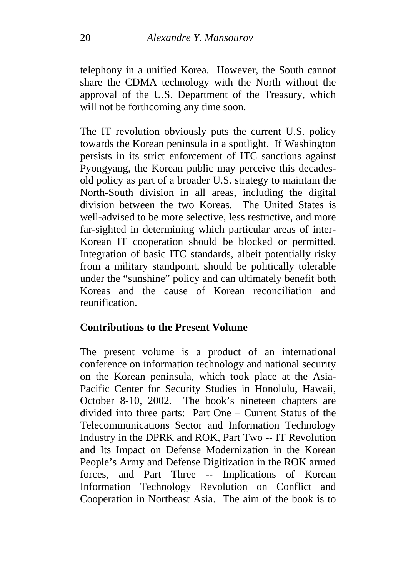telephony in a unified Korea. However, the South cannot share the CDMA technology with the North without the approval of the U.S. Department of the Treasury, which will not be forthcoming any time soon.

The IT revolution obviously puts the current U.S. policy towards the Korean peninsula in a spotlight. If Washington persists in its strict enforcement of ITC sanctions against Pyongyang, the Korean public may perceive this decadesold policy as part of a broader U.S. strategy to maintain the North-South division in all areas, including the digital division between the two Koreas. The United States is well-advised to be more selective, less restrictive, and more far-sighted in determining which particular areas of inter-Korean IT cooperation should be blocked or permitted. Integration of basic ITC standards, albeit potentially risky from a military standpoint, should be politically tolerable under the "sunshine" policy and can ultimately benefit both Koreas and the cause of Korean reconciliation and reunification.

#### **Contributions to the Present Volume**

The present volume is a product of an international conference on information technology and national security on the Korean peninsula, which took place at the Asia-Pacific Center for Security Studies in Honolulu, Hawaii, October 8-10, 2002. The book's nineteen chapters are divided into three parts: Part One – Current Status of the Telecommunications Sector and Information Technology Industry in the DPRK and ROK, Part Two -- IT Revolution and Its Impact on Defense Modernization in the Korean People's Army and Defense Digitization in the ROK armed forces, and Part Three -- Implications of Korean Information Technology Revolution on Conflict and Cooperation in Northeast Asia. The aim of the book is to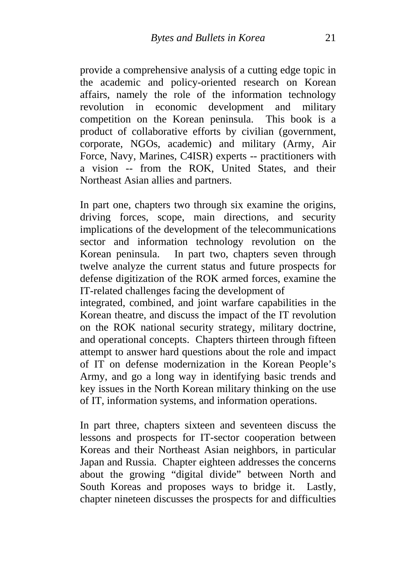provide a comprehensive analysis of a cutting edge topic in the academic and policy-oriented research on Korean affairs, namely the role of the information technology revolution in economic development and military competition on the Korean peninsula. This book is a product of collaborative efforts by civilian (government, corporate, NGOs, academic) and military (Army, Air Force, Navy, Marines, C4ISR) experts -- practitioners with a vision -- from the ROK, United States, and their Northeast Asian allies and partners.

In part one, chapters two through six examine the origins, driving forces, scope, main directions, and security implications of the development of the telecommunications sector and information technology revolution on the Korean peninsula. In part two, chapters seven through twelve analyze the current status and future prospects for defense digitization of the ROK armed forces, examine the IT-related challenges facing the development of

integrated, combined, and joint warfare capabilities in the Korean theatre, and discuss the impact of the IT revolution on the ROK national security strategy, military doctrine, and operational concepts. Chapters thirteen through fifteen attempt to answer hard questions about the role and impact of IT on defense modernization in the Korean People's Army, and go a long way in identifying basic trends and key issues in the North Korean military thinking on the use of IT, information systems, and information operations.

In part three, chapters sixteen and seventeen discuss the lessons and prospects for IT-sector cooperation between Koreas and their Northeast Asian neighbors, in particular Japan and Russia. Chapter eighteen addresses the concerns about the growing "digital divide" between North and South Koreas and proposes ways to bridge it. Lastly, chapter nineteen discusses the prospects for and difficulties